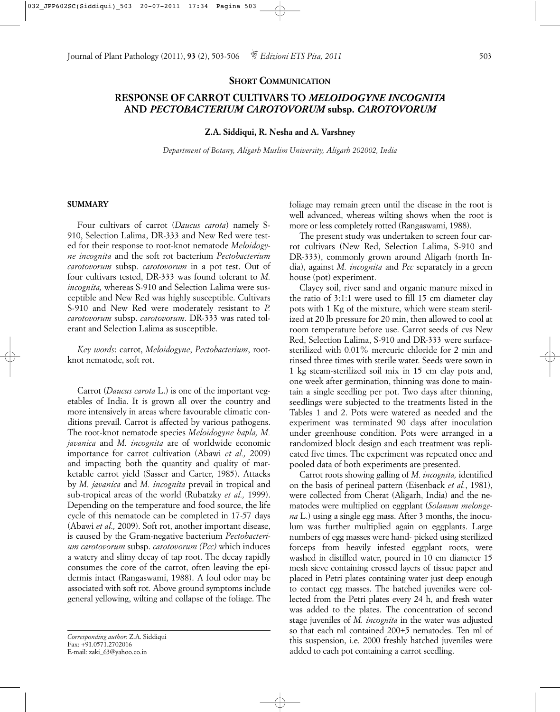## **SHORT COMMUNICATION**

# **RESPONSE OF CARROT CULTIVARS TO** *MELOIDOGYNE INCOGNITA* **AND** *PECTOBACTERIUM CAROTOVORUM* **subsp.** *CAROTOVORUM*

## **Z.A. Siddiqui, R. Nesha and A. Varshney**

*Department of Botany, Aligarh Muslim University, Aligarh 202002, India*

### **SUMMARY**

Four cultivars of carrot (*Daucus carota*) namely S-910, Selection Lalima, DR-333 and New Red were tested for their response to root-knot nematode *Meloidogyne incognita* and the soft rot bacterium *Pectobacterium carotovorum* subsp. *carotovorum* in a pot test. Out of four cultivars tested, DR-333 was found tolerant to *M. incognita,* whereas S-910 and Selection Lalima were susceptible and New Red was highly susceptible. Cultivars S-910 and New Red were moderately resistant to *P. carotovorum* subsp. *carotovorum*. DR-333 was rated tolerant and Selection Lalima as susceptible.

*Key words*: carrot, *Meloidogyne*, *Pectobacterium*, rootknot nematode, soft rot.

Carrot (*Daucus carota* L.) is one of the important vegetables of India. It is grown all over the country and more intensively in areas where favourable climatic conditions prevail. Carrot is affected by various pathogens. The root-knot nematode species *Meloidogyne hapla, M. javanica* and *M. incognita* are of worldwide economic importance for carrot cultivation (Abawi *et al.,* 2009) and impacting both the quantity and quality of marketable carrot yield (Sasser and Carter, 1985). Attacks by *M. javanica* and *M. incognita* prevail in tropical and sub-tropical areas of the world (Rubatzky *et al.,* 1999). Depending on the temperature and food source, the life cycle of this nematode can be completed in 17-57 days (Abawi *et al.,* 2009). Soft rot, another important disease, is caused by the Gram-negative bacterium *Pectobacterium carotovorum* subsp. *carotovorum (Pcc)* which induces a watery and slimy decay of tap root. The decay rapidly consumes the core of the carrot, often leaving the epidermis intact (Rangaswami, 1988). A foul odor may be associated with soft rot. Above ground symptoms include general yellowing, wilting and collapse of the foliage. The foliage may remain green until the disease in the root is well advanced, whereas wilting shows when the root is more or less completely rotted (Rangaswami, 1988).

The present study was undertaken to screen four carrot cultivars (New Red, Selection Lalima, S-910 and DR-333), commonly grown around Aligarh (north India), against *M. incognita* and *Pcc* separately in a green house (pot) experiment.

Clayey soil, river sand and organic manure mixed in the ratio of 3:1:1 were used to fill 15 cm diameter clay pots with 1 Kg of the mixture, which were steam sterilized at 20 lb pressure for 20 min, then allowed to cool at room temperature before use. Carrot seeds of cvs New Red, Selection Lalima, S-910 and DR-333 were surfacesterilized with 0.01% mercuric chloride for 2 min and rinsed three times with sterile water. Seeds were sown in 1 kg steam-sterilized soil mix in 15 cm clay pots and, one week after germination, thinning was done to maintain a single seedling per pot. Two days after thinning, seedlings were subjected to the treatments listed in the Tables 1 and 2. Pots were watered as needed and the experiment was terminated 90 days after inoculation under greenhouse condition. Pots were arranged in a randomized block design and each treatment was replicated five times. The experiment was repeated once and pooled data of both experiments are presented.

Carrot roots showing galling of *M. incognita,* identified on the basis of perineal pattern (Eisenback *et al.*, 1981), were collected from Cherat (Aligarh, India) and the nematodes were multiplied on eggplant (*Solanum melongena* L.) using a single egg mass. After 3 months, the inoculum was further multiplied again on eggplants. Large numbers of egg masses were hand- picked using sterilized forceps from heavily infested eggplant roots, were washed in distilled water, poured in 10 cm diameter 15 mesh sieve containing crossed layers of tissue paper and placed in Petri plates containing water just deep enough to contact egg masses. The hatched juveniles were collected from the Petri plates every 24 h, and fresh water was added to the plates. The concentration of second stage juveniles of *M. incognita* in the water was adjusted so that each ml contained 200±5 nematodes. Ten ml of this suspension, i.e. 2000 freshly hatched juveniles were added to each pot containing a carrot seedling.

*Corresponding author*: Z.A. Siddiqui Fax: +91.0571.2702016 E-mail: zaki\_63@yahoo.co.in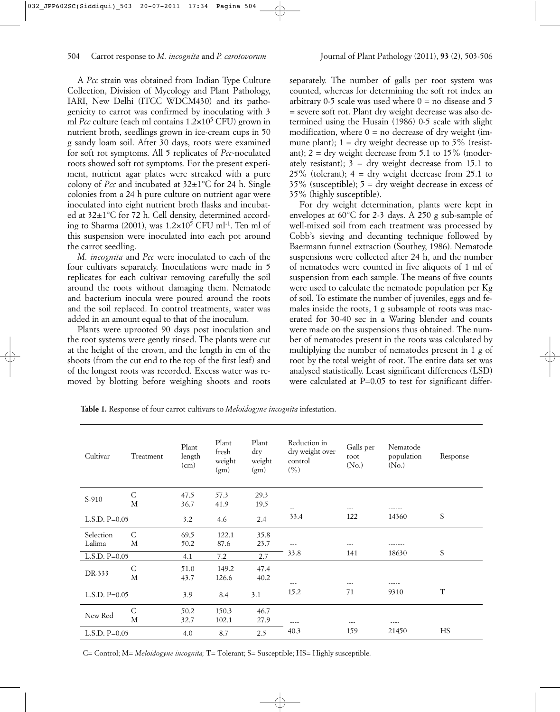A *Pcc* strain was obtained from Indian Type Culture Collection, Division of Mycology and Plant Pathology, IARI, New Delhi (ITCC WDCM430) and its pathogenicity to carrot was confirmed by inoculating with 3 ml *Pcc* culture (each ml contains 1.2×10<sup>5</sup> CFU) grown in nutrient broth, seedlings grown in ice-cream cups in 50 g sandy loam soil. After 30 days, roots were examined for soft rot symptoms. All 5 replicates of *Pcc*-noculated roots showed soft rot symptoms. For the present experiment, nutrient agar plates were streaked with a pure colony of *Pcc* and incubated at 32±1°C for 24 h. Single colonies from a 24 h pure culture on nutrient agar were inoculated into eight nutrient broth flasks and incubated at 32±1°C for 72 h. Cell density, determined according to Sharma (2001), was  $1.2 \times 10^5$  CFU ml<sup>-1</sup>. Ten ml of this suspension were inoculated into each pot around the carrot seedling.

*M. incognita* and *Pcc* were inoculated to each of the four cultivars separately. Inoculations were made in 5 replicates for each cultivar removing carefully the soil around the roots without damaging them. Nematode and bacterium inocula were poured around the roots and the soil replaced. In control treatments, water was added in an amount equal to that of the inoculum.

Plants were uprooted 90 days post inoculation and the root systems were gently rinsed. The plants were cut at the height of the crown, and the length in cm of the shoots (from the cut end to the top of the first leaf) and of the longest roots was recorded. Excess water was removed by blotting before weighing shoots and roots separately. The number of galls per root system was counted, whereas for determining the soft rot index an arbitrary 0-5 scale was used where  $0 =$  no disease and 5 = severe soft rot. Plant dry weight decrease was also determined using the Husain (1986) 0-5 scale with slight modification, where  $0 =$  no decrease of dry weight (immune plant);  $1 = \text{dry weight decrease up to } 5\%$  (resistant);  $2 = \text{dry weight decrease from } 5.1 \text{ to } 15\% \text{ (modern-}$ ately resistant);  $3 =$  dry weight decrease from 15.1 to  $25\%$  (tolerant);  $4 =$  dry weight decrease from 25.1 to  $35\%$  (susceptible);  $5 =$  dry weight decrease in excess of 35% (highly susceptible).

For dry weight determination, plants were kept in envelopes at 60°C for 2-3 days. A 250 g sub-sample of well-mixed soil from each treatment was processed by Cobb's sieving and decanting technique followed by Baermann funnel extraction (Southey, 1986). Nematode suspensions were collected after 24 h, and the number of nematodes were counted in five aliquots of 1 ml of suspension from each sample. The means of five counts were used to calculate the nematode population per Kg of soil. To estimate the number of juveniles, eggs and females inside the roots, 1 g subsample of roots was macerated for 30-40 sec in a Waring blender and counts were made on the suspensions thus obtained. The number of nematodes present in the roots was calculated by multiplying the number of nematodes present in 1 g of root by the total weight of root. The entire data set was analysed statistically. Least significant differences (LSD) were calculated at  $P=0.05$  to test for significant differ-

**Table 1.** Response of four carrot cultivars to *Meloidogyne incognita* infestation.

| Cultivar            | Treatment | Plant<br>length<br>(cm) | Plant<br>fresh<br>weight<br>(gm) | Plant<br>dry<br>weight<br>(gm) | Reduction in<br>dry weight over<br>control<br>(%) | Galls per<br>root<br>(No.) | Nematode<br>population<br>(N <sub>o</sub> ) | Response    |
|---------------------|-----------|-------------------------|----------------------------------|--------------------------------|---------------------------------------------------|----------------------------|---------------------------------------------|-------------|
| S-910               | C<br>M    | 47.5<br>36.7            | 57.3<br>41.9                     | 29.3<br>19.5                   | $\sim$ $-$                                        | ---                        |                                             |             |
| $L.S.D. P=0.05$     |           | 3.2                     | 4.6                              | 2.4                            | 33.4                                              | 122                        | 14360                                       | S           |
| Selection<br>Lalima | C<br>М    | 69.5<br>50.2            | 122.1<br>87.6                    | 35.8<br>23.7                   | $\sim$ $\sim$                                     |                            |                                             |             |
| L.S.D. $P=0.05$     |           | 4.1                     | 7.2                              | 2.7                            | 33.8                                              | 141                        | 18630                                       | S           |
| DR-333              | C<br>M    | 51.0<br>43.7            | 149.2<br>126.6                   | 47.4<br>40.2                   |                                                   |                            |                                             |             |
| $L.S.D. P=0.05$     |           | 3.9                     | 8.4                              | 3.1                            | 15.2                                              | 71                         | 9310                                        | $\mathbf T$ |
| New Red             | C<br>M    | 50.2<br>32.7            | 150.3<br>102.1                   | 46.7<br>27.9                   | $\cdots$                                          | $---$                      | $- - - -$                                   |             |
| L.S.D. $P=0.05$     |           | 4.0                     | 8.7                              | 2.5                            | 40.3                                              | 159                        | 21450                                       | HS          |

C= Control; M= *Meloidogyne incognita;* T= Tolerant; S= Susceptible; HS= Highly susceptible.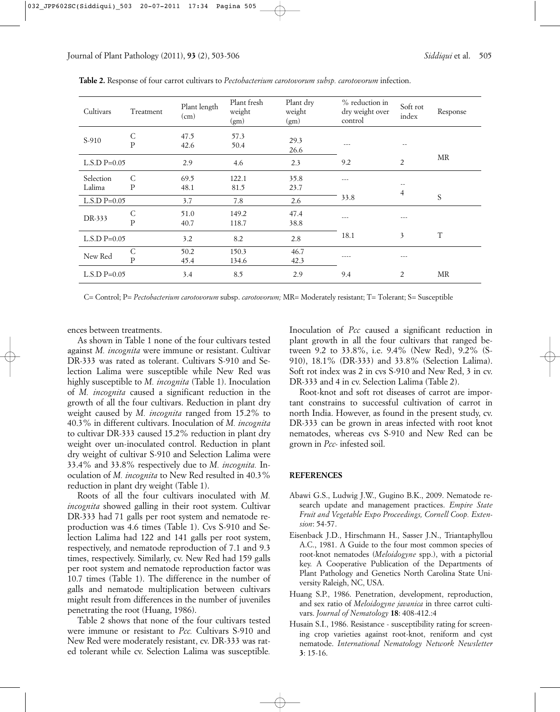| Cultivars           | Treatment         | Plant length<br>(cm) | Plant fresh<br>weight<br>(gm) | Plant dry<br>weight<br>(gm) | % reduction in<br>dry weight over<br>control | Soft rot<br>index | Response |
|---------------------|-------------------|----------------------|-------------------------------|-----------------------------|----------------------------------------------|-------------------|----------|
| S-910               | С<br>${\bf P}$    | 47.5<br>42.6         | 57.3<br>50.4                  | 29.3<br>26.6                | ---                                          | --                |          |
| $L.S.D P=0.05$      |                   | 2.9                  | 4.6                           | 2.3                         | 9.2                                          | $\overline{2}$    | MR       |
| Selection<br>Lalima | C<br>P            | 69.5<br>48.1         | 122.1<br>81.5                 | 35.8<br>23.7                | $- - -$                                      | 4                 |          |
| $L.S.D P=0.05$      |                   | 3.7                  | 7.8                           | 2.6                         | 33.8                                         |                   | S        |
| DR-333              | С<br>$\mathbf{P}$ | 51.0<br>40.7         | 149.2<br>118.7                | 47.4<br>38.8                | $- - -$                                      | ---               |          |
| $L.S.D P=0.05$      |                   | 3.2                  | 8.2                           | 2.8                         | 18.1                                         | 3                 | T        |
| New Red             | C<br>$\mathbf{P}$ | 50.2<br>45.4         | 150.3<br>134.6                | 46.7<br>42.3                | ----                                         | $--$              |          |
| $L.S.D P=0.05$      |                   | 3.4                  | 8.5                           | 2.9                         | 9.4                                          | 2                 | MR       |

**Table 2.** Response of four carrot cultivars to *Pectobacterium carotovorum subsp. carotovorum* infection.

C= Control; P= *Pectobacterium carotovorum* subsp. *carotovorum;* MR= Moderately resistant; T= Tolerant; S= Susceptible

ences between treatments.

As shown in Table 1 none of the four cultivars tested against *M. incognita* were immune or resistant. Cultivar DR-333 was rated as tolerant. Cultivars S-910 and Selection Lalima were susceptible while New Red was highly susceptible to *M. incognita* (Table 1). Inoculation of *M. incognita* caused a significant reduction in the growth of all the four cultivars. Reduction in plant dry weight caused by *M. incognita* ranged from 15.2% to 40.3% in different cultivars. Inoculation of *M. incognita* to cultivar DR-333 caused 15.2% reduction in plant dry weight over un-inoculated control. Reduction in plant dry weight of cultivar S-910 and Selection Lalima were 33.4% and 33.8% respectively due to *M. incognita.* Inoculation of *M. incognita* to New Red resulted in 40.3% reduction in plant dry weight (Table 1).

Roots of all the four cultivars inoculated with *M. incognita* showed galling in their root system. Cultivar DR-333 had 71 galls per root system and nematode reproduction was 4.6 times (Table 1). Cvs S-910 and Selection Lalima had 122 and 141 galls per root system, respectively, and nematode reproduction of 7.1 and 9.3 times, respectively. Similarly, cv. New Red had 159 galls per root system and nematode reproduction factor was 10.7 times (Table 1). The difference in the number of galls and nematode multiplication between cultivars might result from differences in the number of juveniles penetrating the root (Huang, 1986).

Table 2 shows that none of the four cultivars tested were immune or resistant to *Pcc.* Cultivars S-910 and New Red were moderately resistant, cv. DR-333 was rated tolerant while cv. Selection Lalima was susceptible*.* Inoculation of *Pcc* caused a significant reduction in plant growth in all the four cultivars that ranged between 9.2 to 33.8%, i.e. 9.4% (New Red), 9.2% (S-910), 18.1% (DR-333) and 33.8% (Selection Lalima). Soft rot index was 2 in cvs S-910 and New Red, 3 in cv. DR-333 and 4 in cv. Selection Lalima (Table 2).

Root-knot and soft rot diseases of carrot are important constrains to successful cultivation of carrot in north India. However, as found in the present study, cv. DR-333 can be grown in areas infected with root knot nematodes, whereas cvs S-910 and New Red can be grown in *Pcc-* infested soil.

#### **REFERENCES**

- Abawi G.S., Ludwig J.W., Gugino B.K., 2009. Nematode research update and management practices. *Empire State Fruit and Vegetable Expo Proceedings, Cornell Coop. Extension*: 54-57.
- Eisenback J.D., Hirschmann H., Sasser J.N., Triantaphyllou A.C., 1981. A Guide to the four most common species of root-knot nematodes (*Meloidogyne* spp.), with a pictorial key. A Cooperative Publication of the Departments of Plant Pathology and Genetics North Carolina State University Raleigh, NC, USA.
- Huang S.P., 1986. Penetration, development, reproduction, and sex ratio of *Meloidogyne javanica* in three carrot cultivars. *Journal of Nematology* **18**: 408-412.:4
- Husain S.I., 1986. Resistance susceptibility rating for screening crop varieties against root-knot, reniform and cyst nematode. *International Nematology Network Newsletter* **3**: 15-16.